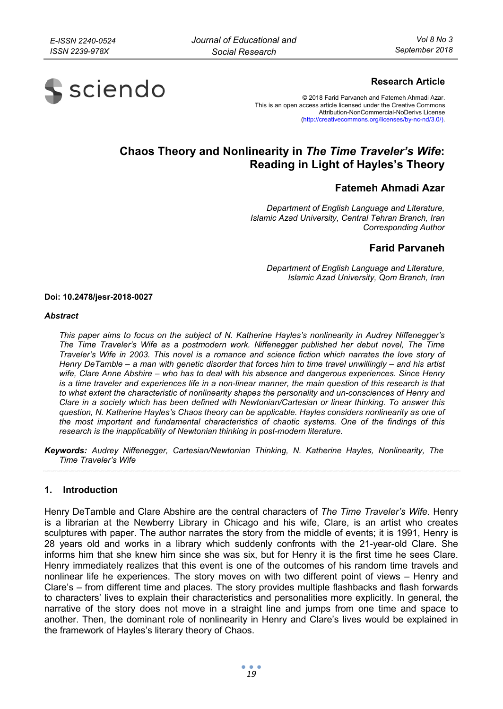

# **Research Article**

© 2018 Farid Parvaneh and Fatemeh Ahmadi Azar. This is an open access article licensed under the Creative Commons Attribution-NonCommercial-NoDerivs License (http://creativecommons.org/licenses/by-nc-nd/3.0/).

# **Chaos Theory and Nonlinearity in** *The Time Traveler's Wife***: Reading in Light of Hayles's Theory**

# **Fatemeh Ahmadi Azar**

*Department of English Language and Literature, Islamic Azad University, Central Tehran Branch, Iran Corresponding Author* 

# **Farid Parvaneh**

*Department of English Language and Literature, Islamic Azad University, Qom Branch, Iran* 

#### **Doi: 10.2478/jesr-2018-0027**

#### *Abstract*

*This paper aims to focus on the subject of N. Katherine Hayles's nonlinearity in Audrey Niffenegger's The Time Traveler's Wife as a postmodern work. Niffenegger published her debut novel, The Time Traveler's Wife in 2003. This novel is a romance and science fiction which narrates the love story of Henry DeTamble – a man with genetic disorder that forces him to time travel unwillingly – and his artist wife, Clare Anne Abshire – who has to deal with his absence and dangerous experiences. Since Henry is a time traveler and experiences life in a non-linear manner, the main question of this research is that to what extent the characteristic of nonlinearity shapes the personality and un-consciences of Henry and Clare in a society which has been defined with Newtonian/Cartesian or linear thinking. To answer this question, N. Katherine Hayles's Chaos theory can be applicable. Hayles considers nonlinearity as one of the most important and fundamental characteristics of chaotic systems. One of the findings of this research is the inapplicability of Newtonian thinking in post-modern literature.* 

*Keywords: Audrey Niffenegger, Cartesian/Newtonian Thinking, N. Katherine Hayles, Nonlinearity, The Time Traveler's Wife* 

## **1. Introduction**

Henry DeTamble and Clare Abshire are the central characters of *The Time Traveler's Wife.* Henry is a librarian at the Newberry Library in Chicago and his wife, Clare, is an artist who creates sculptures with paper. The author narrates the story from the middle of events; it is 1991, Henry is 28 years old and works in a library which suddenly confronts with the 21-year-old Clare. She informs him that she knew him since she was six, but for Henry it is the first time he sees Clare. Henry immediately realizes that this event is one of the outcomes of his random time travels and nonlinear life he experiences. The story moves on with two different point of views – Henry and Clare's – from different time and places. The story provides multiple flashbacks and flash forwards to characters' lives to explain their characteristics and personalities more explicitly. In general, the narrative of the story does not move in a straight line and jumps from one time and space to another. Then, the dominant role of nonlinearity in Henry and Clare's lives would be explained in the framework of Hayles's literary theory of Chaos.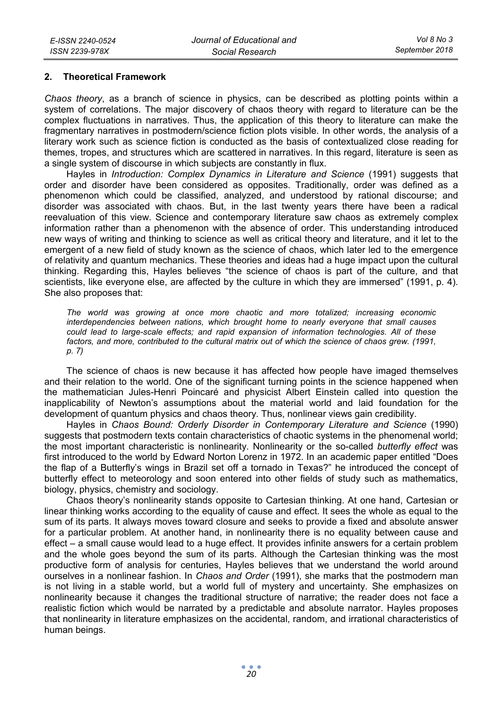#### **2. Theoretical Framework**

*Chaos theory*, as a branch of science in physics, can be described as plotting points within a system of correlations. The major discovery of chaos theory with regard to literature can be the complex fluctuations in narratives. Thus, the application of this theory to literature can make the fragmentary narratives in postmodern/science fiction plots visible. In other words, the analysis of a literary work such as science fiction is conducted as the basis of contextualized close reading for themes, tropes, and structures which are scattered in narratives. In this regard, literature is seen as a single system of discourse in which subjects are constantly in flux.

Hayles in *Introduction: Complex Dynamics in Literature and Science* (1991) suggests that order and disorder have been considered as opposites. Traditionally, order was defined as a phenomenon which could be classified, analyzed, and understood by rational discourse; and disorder was associated with chaos. But, in the last twenty years there have been a radical reevaluation of this view. Science and contemporary literature saw chaos as extremely complex information rather than a phenomenon with the absence of order. This understanding introduced new ways of writing and thinking to science as well as critical theory and literature, and it let to the emergent of a new field of study known as the science of chaos, which later led to the emergence of relativity and quantum mechanics. These theories and ideas had a huge impact upon the cultural thinking. Regarding this, Hayles believes "the science of chaos is part of the culture, and that scientists, like everyone else, are affected by the culture in which they are immersed" (1991, p. 4). She also proposes that:

*The world was growing at once more chaotic and more totalized; increasing economic interdependencies between nations, which brought home to nearly everyone that small causes could lead to large-scale effects; and rapid expansion of information technologies. All of these factors, and more, contributed to the cultural matrix out of which the science of chaos grew. (1991, p. 7)* 

The science of chaos is new because it has affected how people have imaged themselves and their relation to the world. One of the significant turning points in the science happened when the mathematician Jules-Henri Poincaré and physicist Albert Einstein called into question the inapplicability of Newton's assumptions about the material world and laid foundation for the development of quantum physics and chaos theory. Thus, nonlinear views gain credibility.

Hayles in *Chaos Bound: Orderly Disorder in Contemporary Literature and Science* (1990) suggests that postmodern texts contain characteristics of chaotic systems in the phenomenal world; the most important characteristic is nonlinearity. Nonlinearity or the so-called *butterfly effect* was first introduced to the world by Edward Norton Lorenz in 1972. In an academic paper entitled "Does the flap of a Butterfly's wings in Brazil set off a tornado in Texas?" he introduced the concept of butterfly effect to meteorology and soon entered into other fields of study such as mathematics, biology, physics, chemistry and sociology.

Chaos theory's nonlinearity stands opposite to Cartesian thinking. At one hand, Cartesian or linear thinking works according to the equality of cause and effect. It sees the whole as equal to the sum of its parts. It always moves toward closure and seeks to provide a fixed and absolute answer for a particular problem. At another hand, in nonlinearity there is no equality between cause and effect – a small cause would lead to a huge effect. It provides infinite answers for a certain problem and the whole goes beyond the sum of its parts. Although the Cartesian thinking was the most productive form of analysis for centuries, Hayles believes that we understand the world around ourselves in a nonlinear fashion. In *Chaos and Order* (1991), she marks that the postmodern man is not living in a stable world, but a world full of mystery and uncertainty. She emphasizes on nonlinearity because it changes the traditional structure of narrative; the reader does not face a realistic fiction which would be narrated by a predictable and absolute narrator. Hayles proposes that nonlinearity in literature emphasizes on the accidental, random, and irrational characteristics of human beings.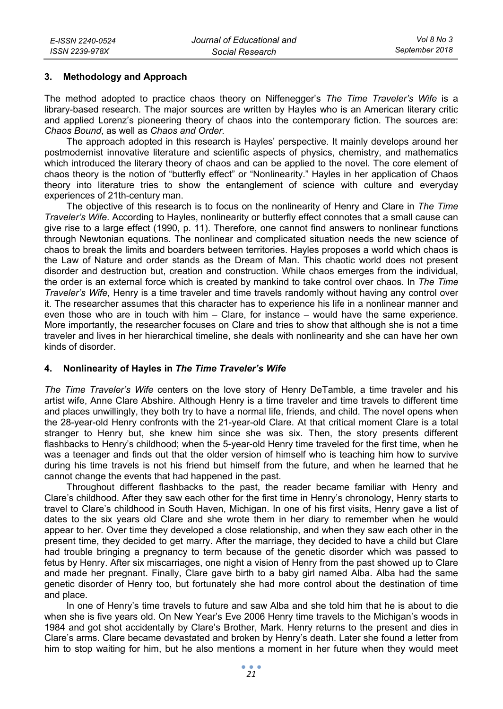## **3. Methodology and Approach**

The method adopted to practice chaos theory on Niffenegger's *The Time Traveler's Wife* is a library-based research. The major sources are written by Hayles who is an American literary critic and applied Lorenz's pioneering theory of chaos into the contemporary fiction. The sources are: *Chaos Bound*, as well as *Chaos and Order.*

The approach adopted in this research is Hayles' perspective. It mainly develops around her postmodernist innovative literature and scientific aspects of physics, chemistry, and mathematics which introduced the literary theory of chaos and can be applied to the novel. The core element of chaos theory is the notion of "butterfly effect" or "Nonlinearity." Hayles in her application of Chaos theory into literature tries to show the entanglement of science with culture and everyday experiences of 21th-century man.

The objective of this research is to focus on the nonlinearity of Henry and Clare in *The Time Traveler's Wife.* According to Hayles, nonlinearity or butterfly effect connotes that a small cause can give rise to a large effect (1990, p. 11). Therefore, one cannot find answers to nonlinear functions through Newtonian equations. The nonlinear and complicated situation needs the new science of chaos to break the limits and boarders between territories. Hayles proposes a world which chaos is the Law of Nature and order stands as the Dream of Man. This chaotic world does not present disorder and destruction but, creation and construction. While chaos emerges from the individual, the order is an external force which is created by mankind to take control over chaos. In *The Time Traveler's Wife*, Henry is a time traveler and time travels randomly without having any control over it. The researcher assumes that this character has to experience his life in a nonlinear manner and even those who are in touch with him – Clare, for instance – would have the same experience. More importantly, the researcher focuses on Clare and tries to show that although she is not a time traveler and lives in her hierarchical timeline, she deals with nonlinearity and she can have her own kinds of disorder.

# **4. Nonlinearity of Hayles in** *The Time Traveler's Wife*

*The Time Traveler's Wife* centers on the love story of Henry DeTamble, a time traveler and his artist wife, Anne Clare Abshire. Although Henry is a time traveler and time travels to different time and places unwillingly, they both try to have a normal life, friends, and child. The novel opens when the 28-year-old Henry confronts with the 21-year-old Clare. At that critical moment Clare is a total stranger to Henry but, she knew him since she was six. Then, the story presents different flashbacks to Henry's childhood; when the 5-year-old Henry time traveled for the first time, when he was a teenager and finds out that the older version of himself who is teaching him how to survive during his time travels is not his friend but himself from the future, and when he learned that he cannot change the events that had happened in the past.

Throughout different flashbacks to the past, the reader became familiar with Henry and Clare's childhood. After they saw each other for the first time in Henry's chronology, Henry starts to travel to Clare's childhood in South Haven, Michigan. In one of his first visits, Henry gave a list of dates to the six years old Clare and she wrote them in her diary to remember when he would appear to her. Over time they developed a close relationship, and when they saw each other in the present time, they decided to get marry. After the marriage, they decided to have a child but Clare had trouble bringing a pregnancy to term because of the genetic disorder which was passed to fetus by Henry. After six miscarriages, one night a vision of Henry from the past showed up to Clare and made her pregnant. Finally, Clare gave birth to a baby girl named Alba. Alba had the same genetic disorder of Henry too, but fortunately she had more control about the destination of time and place.

In one of Henry's time travels to future and saw Alba and she told him that he is about to die when she is five years old. On New Year's Eve 2006 Henry time travels to the Michigan's woods in 1984 and got shot accidentally by Clare's Brother, Mark. Henry returns to the present and dies in Clare's arms. Clare became devastated and broken by Henry's death. Later she found a letter from him to stop waiting for him, but he also mentions a moment in her future when they would meet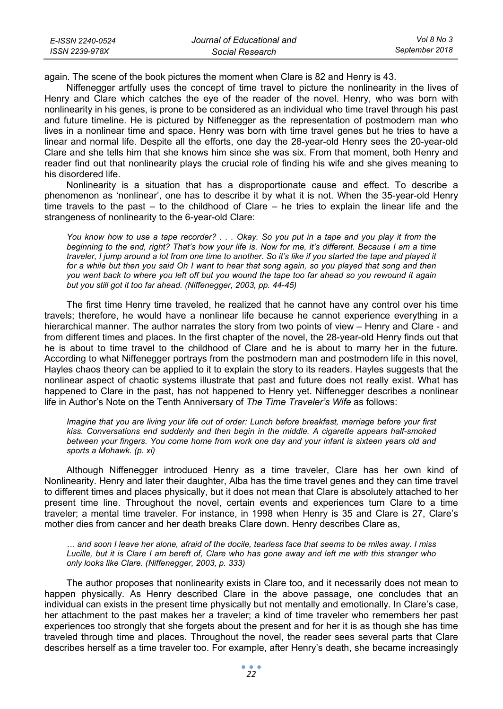| E-ISSN 2240-0524 | Journal of Educational and | Vol 8 No 3     |
|------------------|----------------------------|----------------|
| ISSN 2239-978X   | Social Research            | September 2018 |

again. The scene of the book pictures the moment when Clare is 82 and Henry is 43.

Niffenegger artfully uses the concept of time travel to picture the nonlinearity in the lives of Henry and Clare which catches the eye of the reader of the novel. Henry, who was born with nonlinearity in his genes, is prone to be considered as an individual who time travel through his past and future timeline. He is pictured by Niffenegger as the representation of postmodern man who lives in a nonlinear time and space. Henry was born with time travel genes but he tries to have a linear and normal life. Despite all the efforts, one day the 28-year-old Henry sees the 20-year-old Clare and she tells him that she knows him since she was six. From that moment, both Henry and reader find out that nonlinearity plays the crucial role of finding his wife and she gives meaning to his disordered life.

Nonlinearity is a situation that has a disproportionate cause and effect. To describe a phenomenon as 'nonlinear', one has to describe it by what it is not. When the 35-year-old Henry time travels to the past – to the childhood of Clare – he tries to explain the linear life and the strangeness of nonlinearity to the 6-year-old Clare:

*You know how to use a tape recorder? . . . Okay. So you put in a tape and you play it from the beginning to the end, right? That's how your life is. Now for me, it's different. Because I am a time traveler, I jump around a lot from one time to another. So it's like if you started the tape and played it*  for a while but then you said Oh I want to hear that song again, so you played that song and then *you went back to where you left off but you wound the tape too far ahead so you rewound it again but you still got it too far ahead. (Niffenegger, 2003, pp. 44-45)* 

The first time Henry time traveled, he realized that he cannot have any control over his time travels; therefore, he would have a nonlinear life because he cannot experience everything in a hierarchical manner. The author narrates the story from two points of view – Henry and Clare - and from different times and places. In the first chapter of the novel, the 28-year-old Henry finds out that he is about to time travel to the childhood of Clare and he is about to marry her in the future. According to what Niffenegger portrays from the postmodern man and postmodern life in this novel, Hayles chaos theory can be applied to it to explain the story to its readers. Hayles suggests that the nonlinear aspect of chaotic systems illustrate that past and future does not really exist. What has happened to Clare in the past, has not happened to Henry yet. Niffenegger describes a nonlinear life in Author's Note on the Tenth Anniversary of *The Time Traveler's Wife* as follows:

*Imagine that you are living your life out of order: Lunch before breakfast, marriage before your first kiss. Conversations end suddenly and then begin in the middle. A cigarette appears half-smoked between your fingers. You come home from work one day and your infant is sixteen years old and sports a Mohawk. (p. xi)* 

Although Niffenegger introduced Henry as a time traveler, Clare has her own kind of Nonlinearity. Henry and later their daughter, Alba has the time travel genes and they can time travel to different times and places physically, but it does not mean that Clare is absolutely attached to her present time line. Throughout the novel, certain events and experiences turn Clare to a time traveler; a mental time traveler. For instance, in 1998 when Henry is 35 and Clare is 27, Clare's mother dies from cancer and her death breaks Clare down. Henry describes Clare as,

*… and soon I leave her alone, afraid of the docile, tearless face that seems to be miles away. I miss Lucille, but it is Clare I am bereft of, Clare who has gone away and left me with this stranger who only looks like Clare. (Niffenegger, 2003, p. 333)* 

The author proposes that nonlinearity exists in Clare too, and it necessarily does not mean to happen physically. As Henry described Clare in the above passage, one concludes that an individual can exists in the present time physically but not mentally and emotionally. In Clare's case, her attachment to the past makes her a traveler; a kind of time traveler who remembers her past experiences too strongly that she forgets about the present and for her it is as though she has time traveled through time and places. Throughout the novel, the reader sees several parts that Clare describes herself as a time traveler too. For example, after Henry's death, she became increasingly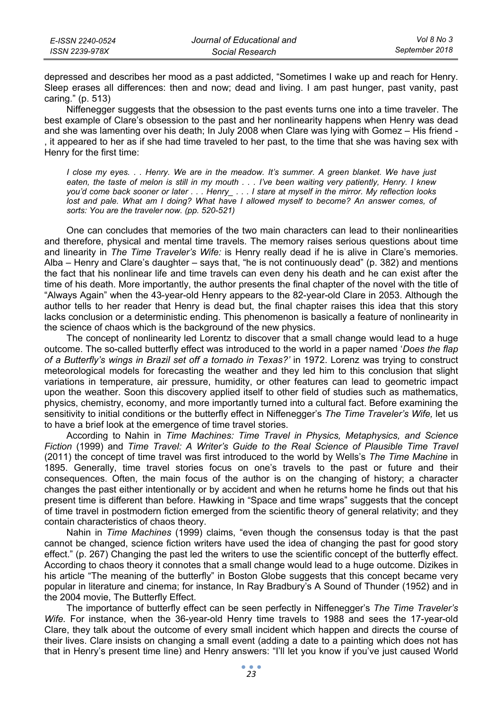| E-ISSN 2240-0524 | Journal of Educational and | Vol 8 No 3     |
|------------------|----------------------------|----------------|
| ISSN 2239-978X   | Social Research            | September 2018 |

depressed and describes her mood as a past addicted, "Sometimes I wake up and reach for Henry. Sleep erases all differences: then and now; dead and living. I am past hunger, past vanity, past caring." (p. 513)

Niffenegger suggests that the obsession to the past events turns one into a time traveler. The best example of Clare's obsession to the past and her nonlinearity happens when Henry was dead and she was lamenting over his death; In July 2008 when Clare was lying with Gomez – His friend it appeared to her as if she had time traveled to her past, to the time that she was having sex with Henry for the first time:

*I close my eyes. . . Henry. We are in the meadow. It's summer. A green blanket. We have just eaten, the taste of melon is still in my mouth . . . I've been waiting very patiently, Henry. I knew you'd come back sooner or later . . . Henry\_ . . . I stare at myself in the mirror. My reflection looks lost and pale. What am I doing? What have I allowed myself to become? An answer comes, of sorts: You are the traveler now. (pp. 520-521)* 

One can concludes that memories of the two main characters can lead to their nonlinearities and therefore, physical and mental time travels. The memory raises serious questions about time and linearity in *The Time Traveler's Wife:* is Henry really dead if he is alive in Clare's memories. Alba – Henry and Clare's daughter – says that, "he is not continuously dead" (p. 382) and mentions the fact that his nonlinear life and time travels can even deny his death and he can exist after the time of his death. More importantly, the author presents the final chapter of the novel with the title of "Always Again" when the 43-year-old Henry appears to the 82-year-old Clare in 2053. Although the author tells to her reader that Henry is dead but, the final chapter raises this idea that this story lacks conclusion or a deterministic ending. This phenomenon is basically a feature of nonlinearity in the science of chaos which is the background of the new physics.

The concept of nonlinearity led Lorentz to discover that a small change would lead to a huge outcome. The so-called butterfly effect was introduced to the world in a paper named '*Does the flap of a Butterfly's wings in Brazil set off a tornado in Texas?'* in 1972. Lorenz was trying to construct meteorological models for forecasting the weather and they led him to this conclusion that slight variations in temperature, air pressure, humidity, or other features can lead to geometric impact upon the weather. Soon this discovery applied itself to other field of studies such as mathematics, physics, chemistry, economy, and more importantly turned into a cultural fact. Before examining the sensitivity to initial conditions or the butterfly effect in Niffenegger's *The Time Traveler's Wife,* let us to have a brief look at the emergence of time travel stories.

According to Nahin in *Time Machines: Time Travel in Physics, Metaphysics, and Science Fiction* (1999) and *Time Travel: A Writer's Guide to the Real Science of Plausible Time Travel* (2011) the concept of time travel was first introduced to the world by Wells's *The Time Machine* in 1895. Generally, time travel stories focus on one's travels to the past or future and their consequences. Often, the main focus of the author is on the changing of history; a character changes the past either intentionally or by accident and when he returns home he finds out that his present time is different than before. Hawking in "Space and time wraps" suggests that the concept of time travel in postmodern fiction emerged from the scientific theory of general relativity; and they contain characteristics of chaos theory.

Nahin in *Time Machines* (1999) claims, "even though the consensus today is that the past cannot be changed, science fiction writers have used the idea of changing the past for good story effect." (p. 267) Changing the past led the writers to use the scientific concept of the butterfly effect. According to chaos theory it connotes that a small change would lead to a huge outcome. Dizikes in his article "The meaning of the butterfly" in Boston Globe suggests that this concept became very popular in literature and cinema; for instance, In Ray Bradbury's A Sound of Thunder (1952) and in the 2004 movie, The Butterfly Effect.

The importance of butterfly effect can be seen perfectly in Niffenegger's *The Time Traveler's Wife.* For instance, when the 36-year-old Henry time travels to 1988 and sees the 17-year-old Clare, they talk about the outcome of every small incident which happen and directs the course of their lives. Clare insists on changing a small event (adding a date to a painting which does not has that in Henry's present time line) and Henry answers: "I'll let you know if you've just caused World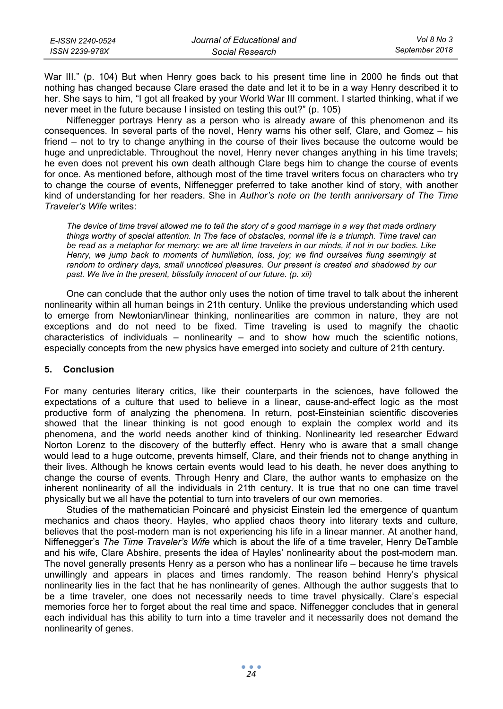| E-ISSN 2240-0524 | Journal of Educational and | Vol 8 No 3     |
|------------------|----------------------------|----------------|
| ISSN 2239-978X   | Social Research            | September 2018 |

War III." (p. 104) But when Henry goes back to his present time line in 2000 he finds out that nothing has changed because Clare erased the date and let it to be in a way Henry described it to her. She says to him, "I got all freaked by your World War III comment. I started thinking, what if we never meet in the future because I insisted on testing this out?" (p. 105)

Niffenegger portrays Henry as a person who is already aware of this phenomenon and its consequences. In several parts of the novel, Henry warns his other self, Clare, and Gomez – his friend – not to try to change anything in the course of their lives because the outcome would be huge and unpredictable. Throughout the novel, Henry never changes anything in his time travels; he even does not prevent his own death although Clare begs him to change the course of events for once. As mentioned before, although most of the time travel writers focus on characters who try to change the course of events, Niffenegger preferred to take another kind of story, with another kind of understanding for her readers. She in *Author's note on the tenth anniversary of The Time Traveler's Wife* writes:

*The device of time travel allowed me to tell the story of a good marriage in a way that made ordinary things worthy of special attention. In The face of obstacles, normal life is a triumph. Time travel can be read as a metaphor for memory: we are all time travelers in our minds, if not in our bodies. Like Henry, we jump back to moments of humiliation, loss, joy; we find ourselves flung seemingly at random to ordinary days, small unnoticed pleasures. Our present is created and shadowed by our past. We live in the present, blissfully innocent of our future. (p. xii)* 

One can conclude that the author only uses the notion of time travel to talk about the inherent nonlinearity within all human beings in 21th century. Unlike the previous understanding which used to emerge from Newtonian/linear thinking, nonlinearities are common in nature, they are not exceptions and do not need to be fixed. Time traveling is used to magnify the chaotic characteristics of individuals – nonlinearity – and to show how much the scientific notions, especially concepts from the new physics have emerged into society and culture of 21th century.

## **5. Conclusion**

For many centuries literary critics, like their counterparts in the sciences, have followed the expectations of a culture that used to believe in a linear, cause-and-effect logic as the most productive form of analyzing the phenomena. In return, post-Einsteinian scientific discoveries showed that the linear thinking is not good enough to explain the complex world and its phenomena, and the world needs another kind of thinking. Nonlinearity led researcher Edward Norton Lorenz to the discovery of the butterfly effect. Henry who is aware that a small change would lead to a huge outcome, prevents himself, Clare, and their friends not to change anything in their lives. Although he knows certain events would lead to his death, he never does anything to change the course of events. Through Henry and Clare, the author wants to emphasize on the inherent nonlinearity of all the individuals in 21th century. It is true that no one can time travel physically but we all have the potential to turn into travelers of our own memories.

Studies of the mathematician Poincaré and physicist Einstein led the emergence of quantum mechanics and chaos theory. Hayles, who applied chaos theory into literary texts and culture, believes that the post-modern man is not experiencing his life in a linear manner. At another hand, Niffenegger's *The Time Traveler's Wife* which is about the life of a time traveler, Henry DeTamble and his wife, Clare Abshire, presents the idea of Hayles' nonlinearity about the post-modern man. The novel generally presents Henry as a person who has a nonlinear life – because he time travels unwillingly and appears in places and times randomly. The reason behind Henry's physical nonlinearity lies in the fact that he has nonlinearity of genes. Although the author suggests that to be a time traveler, one does not necessarily needs to time travel physically. Clare's especial memories force her to forget about the real time and space. Niffenegger concludes that in general each individual has this ability to turn into a time traveler and it necessarily does not demand the nonlinearity of genes.